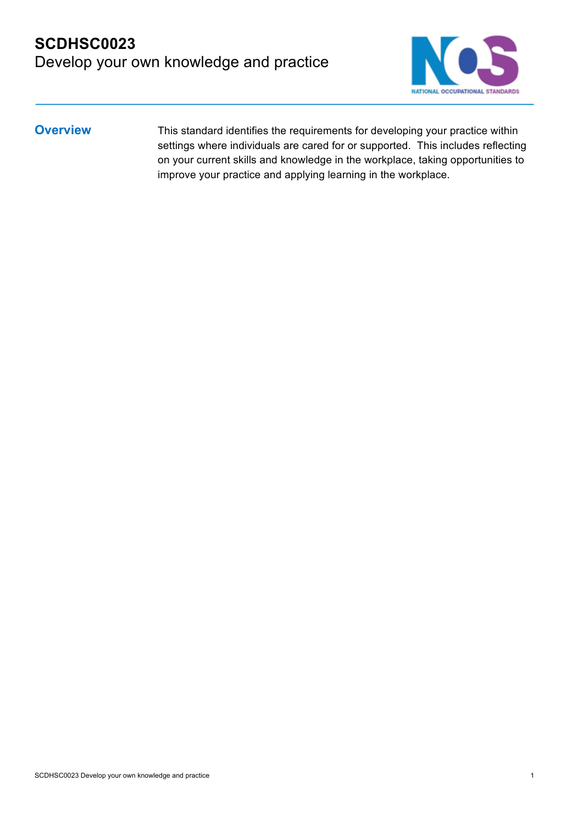#### **SCDHSC0023**  Develop your own knowledge and practice



**Overview** This standard identifies the requirements for developing your practice within settings where individuals are cared for or supported. This includes reflecting on your current skills and knowledge in the workplace, taking opportunities to improve your practice and applying learning in the workplace.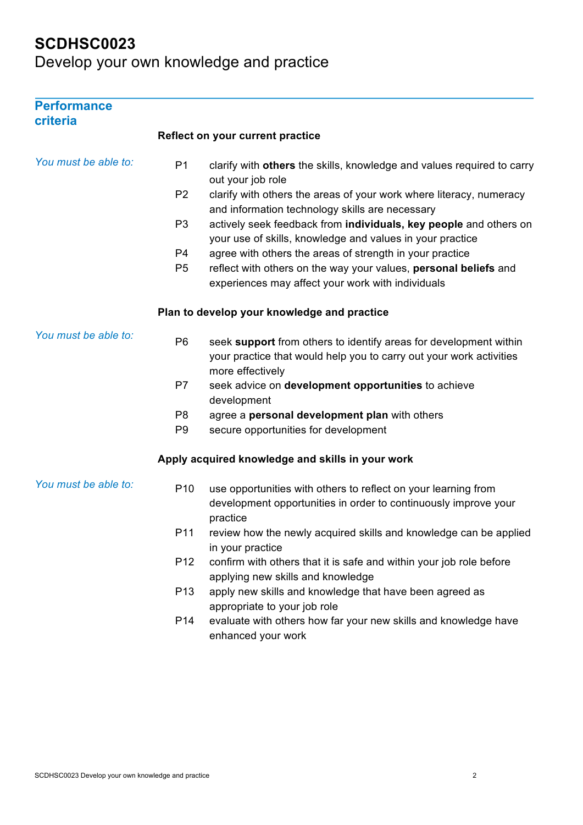| <b>Performance</b><br>criteria |                 |                                                                                                                                                              |
|--------------------------------|-----------------|--------------------------------------------------------------------------------------------------------------------------------------------------------------|
|                                |                 | <b>Reflect on your current practice</b>                                                                                                                      |
| You must be able to:           | P <sub>1</sub>  | clarify with others the skills, knowledge and values required to carry<br>out your job role                                                                  |
|                                | P <sub>2</sub>  | clarify with others the areas of your work where literacy, numeracy<br>and information technology skills are necessary                                       |
|                                | P <sub>3</sub>  | actively seek feedback from individuals, key people and others on<br>your use of skills, knowledge and values in your practice                               |
|                                | P <sub>4</sub>  | agree with others the areas of strength in your practice                                                                                                     |
|                                | P <sub>5</sub>  | reflect with others on the way your values, personal beliefs and<br>experiences may affect your work with individuals                                        |
|                                |                 | Plan to develop your knowledge and practice                                                                                                                  |
| You must be able to:           | P <sub>6</sub>  | seek support from others to identify areas for development within<br>your practice that would help you to carry out your work activities<br>more effectively |
|                                | P7              | seek advice on development opportunities to achieve<br>development                                                                                           |
|                                | P <sub>8</sub>  | agree a personal development plan with others                                                                                                                |
|                                | P <sub>9</sub>  | secure opportunities for development                                                                                                                         |
|                                |                 | Apply acquired knowledge and skills in your work                                                                                                             |
| You must be able to:           | P <sub>10</sub> | use opportunities with others to reflect on your learning from<br>development opportunities in order to continuously improve your<br>practice                |
|                                | P11             | review how the newly acquired skills and knowledge can be applied<br>in your practice                                                                        |
|                                | P <sub>12</sub> | confirm with others that it is safe and within your job role before<br>applying new skills and knowledge                                                     |
|                                | P <sub>13</sub> | apply new skills and knowledge that have been agreed as<br>appropriate to your job role                                                                      |
|                                | P14             | evaluate with others how far your new skills and knowledge have<br>enhanced your work                                                                        |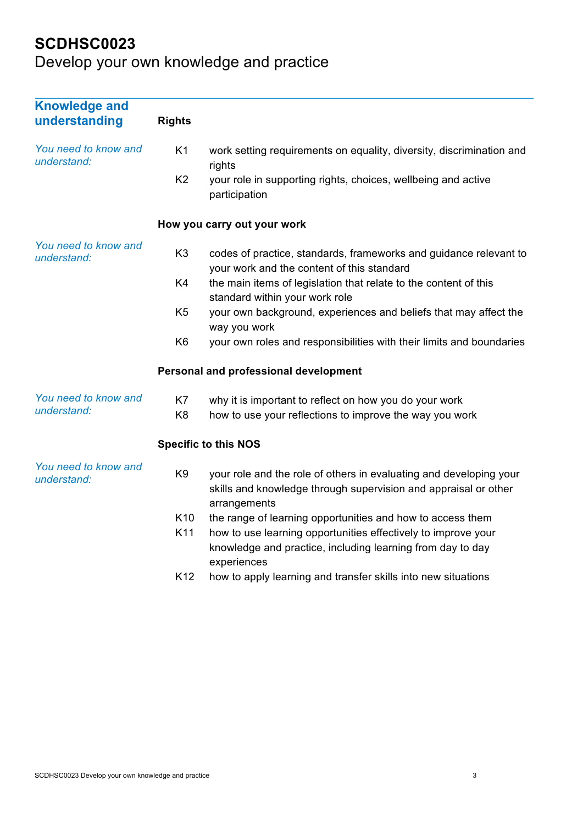| <b>Knowledge and</b><br>understanding | <b>Rights</b>   |                                                                                                                                                       |
|---------------------------------------|-----------------|-------------------------------------------------------------------------------------------------------------------------------------------------------|
| You need to know and<br>understand:   | K1              | work setting requirements on equality, diversity, discrimination and<br>rights                                                                        |
|                                       | K <sub>2</sub>  | your role in supporting rights, choices, wellbeing and active<br>participation                                                                        |
|                                       |                 | How you carry out your work                                                                                                                           |
| You need to know and<br>understand:   | K <sub>3</sub>  | codes of practice, standards, frameworks and guidance relevant to<br>your work and the content of this standard                                       |
|                                       | K4              | the main items of legislation that relate to the content of this<br>standard within your work role                                                    |
|                                       | K <sub>5</sub>  | your own background, experiences and beliefs that may affect the<br>way you work                                                                      |
|                                       | K <sub>6</sub>  | your own roles and responsibilities with their limits and boundaries                                                                                  |
|                                       |                 | Personal and professional development                                                                                                                 |
| You need to know and<br>understand:   | K7              | why it is important to reflect on how you do your work                                                                                                |
|                                       | K <sub>8</sub>  | how to use your reflections to improve the way you work                                                                                               |
|                                       |                 | <b>Specific to this NOS</b>                                                                                                                           |
| You need to know and<br>understand:   | K <sub>9</sub>  | your role and the role of others in evaluating and developing your<br>skills and knowledge through supervision and appraisal or other<br>arrangements |
|                                       | K <sub>10</sub> | the range of learning opportunities and how to access them                                                                                            |
|                                       | K11             | how to use learning opportunities effectively to improve your<br>knowledge and practice, including learning from day to day<br>experiences            |
|                                       | K12             | how to apply learning and transfer skills into new situations                                                                                         |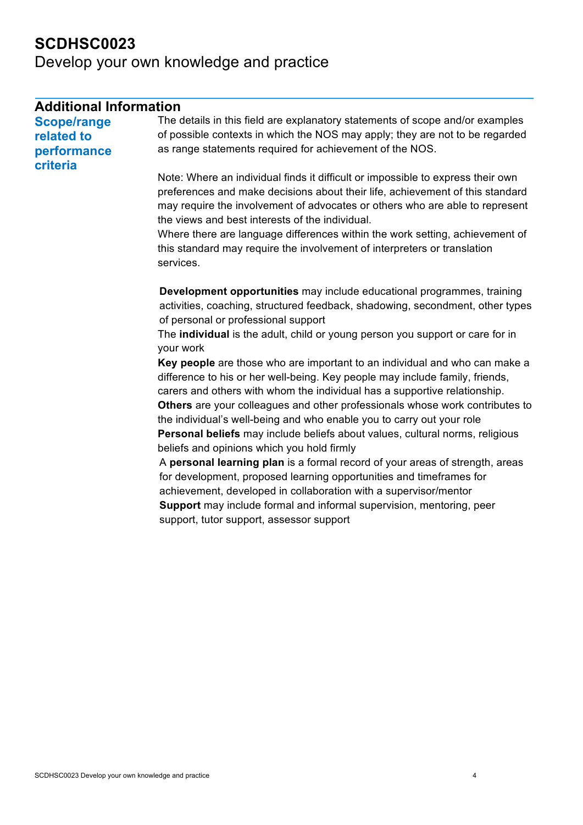| <b>Additional Information</b> |                                                                                                                                                                                                                                                                                                                                                                                     |
|-------------------------------|-------------------------------------------------------------------------------------------------------------------------------------------------------------------------------------------------------------------------------------------------------------------------------------------------------------------------------------------------------------------------------------|
| <b>Scope/range</b>            | The details in this field are explanatory statements of scope and/or examples                                                                                                                                                                                                                                                                                                       |
| related to                    | of possible contexts in which the NOS may apply; they are not to be regarded                                                                                                                                                                                                                                                                                                        |
| performance<br>criteria       | as range statements required for achievement of the NOS.                                                                                                                                                                                                                                                                                                                            |
|                               | Note: Where an individual finds it difficult or impossible to express their own<br>preferences and make decisions about their life, achievement of this standard<br>may require the involvement of advocates or others who are able to represent<br>the views and best interests of the individual.<br>Where there are language differences within the work setting, achievement of |
|                               | this standard may require the involvement of interpreters or translation<br>services.                                                                                                                                                                                                                                                                                               |
|                               | Development opportunities may include educational programmes, training<br>activities, coaching, structured feedback, shadowing, secondment, other types<br>of personal or professional support                                                                                                                                                                                      |
|                               | The individual is the adult, child or young person you support or care for in<br>your work                                                                                                                                                                                                                                                                                          |
|                               | Key people are those who are important to an individual and who can make a<br>difference to his or her well-being. Key people may include family, friends,<br>carers and others with whom the individual has a supportive relationship.                                                                                                                                             |
|                               | Others are your colleagues and other professionals whose work contributes to<br>the individual's well-being and who enable you to carry out your role                                                                                                                                                                                                                               |
|                               | Personal beliefs may include beliefs about values, cultural norms, religious<br>beliefs and opinions which you hold firmly                                                                                                                                                                                                                                                          |
|                               | A personal learning plan is a formal record of your areas of strength, areas<br>for development, proposed learning opportunities and timeframes for                                                                                                                                                                                                                                 |
|                               | achievement, developed in collaboration with a supervisor/mentor                                                                                                                                                                                                                                                                                                                    |
|                               | Support may include formal and informal supervision, mentoring, peer<br>support, tutor support, assessor support                                                                                                                                                                                                                                                                    |
|                               |                                                                                                                                                                                                                                                                                                                                                                                     |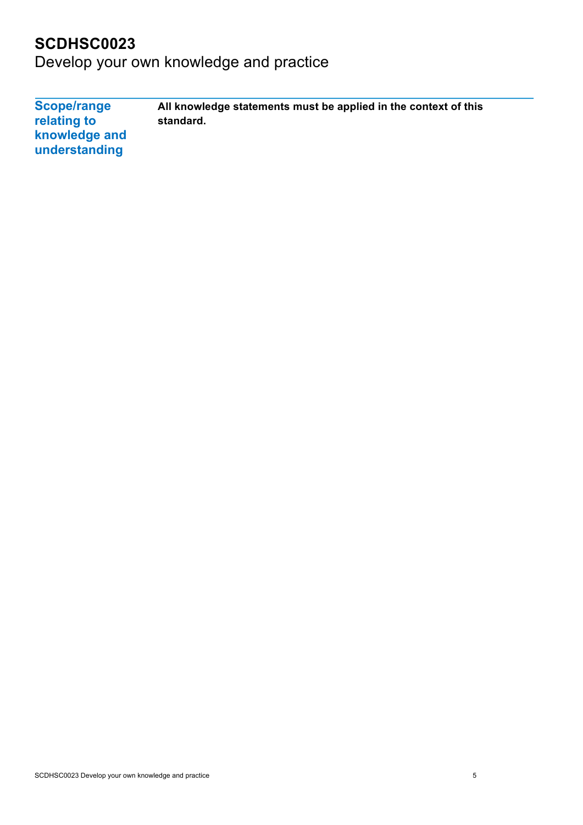Develop your own knowledge and practice

**Scope/range relating to knowledge and understanding All knowledge statements must be applied in the context of this standard.**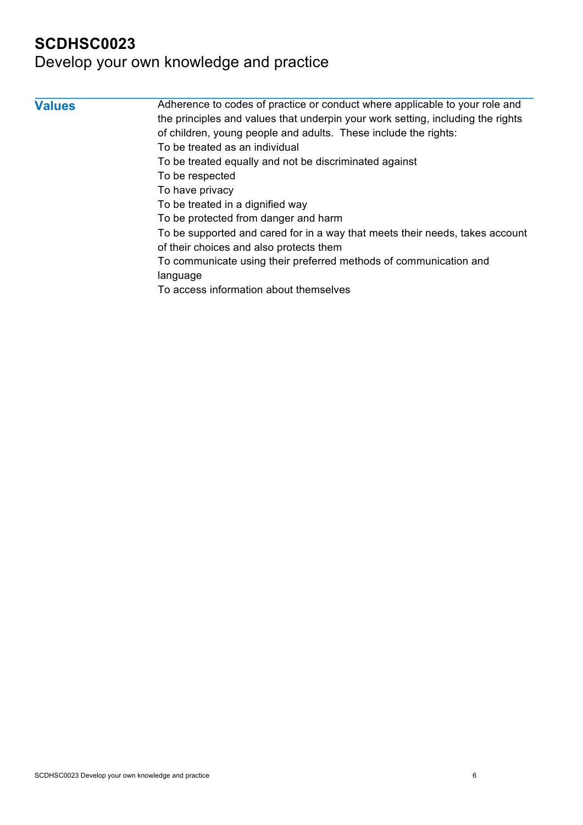| <b>Values</b> | Adherence to codes of practice or conduct where applicable to your role and     |
|---------------|---------------------------------------------------------------------------------|
|               | the principles and values that underpin your work setting, including the rights |
|               | of children, young people and adults. These include the rights:                 |
|               | To be treated as an individual                                                  |
|               | To be treated equally and not be discriminated against                          |
|               | To be respected                                                                 |
|               | To have privacy                                                                 |
|               | To be treated in a dignified way                                                |
|               | To be protected from danger and harm                                            |
|               | To be supported and cared for in a way that meets their needs, takes account    |
|               | of their choices and also protects them                                         |
|               | To communicate using their preferred methods of communication and               |
|               | language                                                                        |
|               | To access information about themselves                                          |
|               |                                                                                 |
|               |                                                                                 |